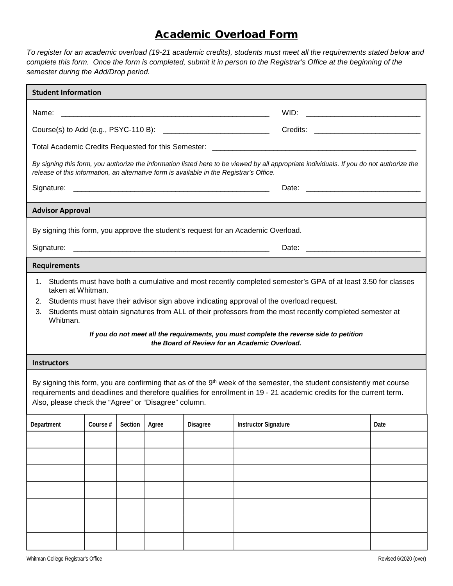## Academic Overload Form

*To register for an academic overload (19-21 academic credits), students must meet all the requirements stated below and complete this form. Once the form is completed, submit it in person to the Registrar's Office at the beginning of the semester during the Add/Drop period.*

| <b>Student Information</b>                                                                                                                                                                                                                                                                                                                                                                                                                                                                                                                                                                                                                                                                                                                                                                                                                                  |          |         |       |                 |                             |                                                                                                                                                                                                                                |      |  |
|-------------------------------------------------------------------------------------------------------------------------------------------------------------------------------------------------------------------------------------------------------------------------------------------------------------------------------------------------------------------------------------------------------------------------------------------------------------------------------------------------------------------------------------------------------------------------------------------------------------------------------------------------------------------------------------------------------------------------------------------------------------------------------------------------------------------------------------------------------------|----------|---------|-------|-----------------|-----------------------------|--------------------------------------------------------------------------------------------------------------------------------------------------------------------------------------------------------------------------------|------|--|
| Name:                                                                                                                                                                                                                                                                                                                                                                                                                                                                                                                                                                                                                                                                                                                                                                                                                                                       |          |         |       |                 |                             |                                                                                                                                                                                                                                |      |  |
|                                                                                                                                                                                                                                                                                                                                                                                                                                                                                                                                                                                                                                                                                                                                                                                                                                                             |          |         |       |                 |                             |                                                                                                                                                                                                                                |      |  |
|                                                                                                                                                                                                                                                                                                                                                                                                                                                                                                                                                                                                                                                                                                                                                                                                                                                             |          |         |       |                 |                             |                                                                                                                                                                                                                                |      |  |
| By signing this form, you authorize the information listed here to be viewed by all appropriate individuals. If you do not authorize the<br>release of this information, an alternative form is available in the Registrar's Office.                                                                                                                                                                                                                                                                                                                                                                                                                                                                                                                                                                                                                        |          |         |       |                 |                             |                                                                                                                                                                                                                                |      |  |
| Signature:                                                                                                                                                                                                                                                                                                                                                                                                                                                                                                                                                                                                                                                                                                                                                                                                                                                  |          |         |       |                 |                             | Date: <u>______________________________</u>                                                                                                                                                                                    |      |  |
|                                                                                                                                                                                                                                                                                                                                                                                                                                                                                                                                                                                                                                                                                                                                                                                                                                                             |          |         |       |                 |                             |                                                                                                                                                                                                                                |      |  |
| <b>Advisor Approval</b>                                                                                                                                                                                                                                                                                                                                                                                                                                                                                                                                                                                                                                                                                                                                                                                                                                     |          |         |       |                 |                             |                                                                                                                                                                                                                                |      |  |
| By signing this form, you approve the student's request for an Academic Overload.                                                                                                                                                                                                                                                                                                                                                                                                                                                                                                                                                                                                                                                                                                                                                                           |          |         |       |                 |                             |                                                                                                                                                                                                                                |      |  |
|                                                                                                                                                                                                                                                                                                                                                                                                                                                                                                                                                                                                                                                                                                                                                                                                                                                             |          |         |       |                 |                             | Date: the contract of the contract of the contract of the contract of the contract of the contract of the contract of the contract of the contract of the contract of the contract of the contract of the contract of the cont |      |  |
| <b>Requirements</b>                                                                                                                                                                                                                                                                                                                                                                                                                                                                                                                                                                                                                                                                                                                                                                                                                                         |          |         |       |                 |                             |                                                                                                                                                                                                                                |      |  |
| 1. Students must have both a cumulative and most recently completed semester's GPA of at least 3.50 for classes<br>taken at Whitman.<br>Students must have their advisor sign above indicating approval of the overload request.<br>2.<br>Students must obtain signatures from ALL of their professors from the most recently completed semester at<br>3.<br>Whitman.<br>If you do not meet all the requirements, you must complete the reverse side to petition<br>the Board of Review for an Academic Overload.<br><b>Instructors</b><br>By signing this form, you are confirming that as of the 9 <sup>th</sup> week of the semester, the student consistently met course<br>requirements and deadlines and therefore qualifies for enrollment in 19 - 21 academic credits for the current term.<br>Also, please check the "Agree" or "Disagree" column. |          |         |       |                 |                             |                                                                                                                                                                                                                                |      |  |
|                                                                                                                                                                                                                                                                                                                                                                                                                                                                                                                                                                                                                                                                                                                                                                                                                                                             |          |         |       |                 |                             |                                                                                                                                                                                                                                |      |  |
| Department                                                                                                                                                                                                                                                                                                                                                                                                                                                                                                                                                                                                                                                                                                                                                                                                                                                  | Course # | Section | Agree | <b>Disagree</b> | <b>Instructor Signature</b> |                                                                                                                                                                                                                                | Date |  |
|                                                                                                                                                                                                                                                                                                                                                                                                                                                                                                                                                                                                                                                                                                                                                                                                                                                             |          |         |       |                 |                             |                                                                                                                                                                                                                                |      |  |
|                                                                                                                                                                                                                                                                                                                                                                                                                                                                                                                                                                                                                                                                                                                                                                                                                                                             |          |         |       |                 |                             |                                                                                                                                                                                                                                |      |  |
|                                                                                                                                                                                                                                                                                                                                                                                                                                                                                                                                                                                                                                                                                                                                                                                                                                                             |          |         |       |                 |                             |                                                                                                                                                                                                                                |      |  |
|                                                                                                                                                                                                                                                                                                                                                                                                                                                                                                                                                                                                                                                                                                                                                                                                                                                             |          |         |       |                 |                             |                                                                                                                                                                                                                                |      |  |
|                                                                                                                                                                                                                                                                                                                                                                                                                                                                                                                                                                                                                                                                                                                                                                                                                                                             |          |         |       |                 |                             |                                                                                                                                                                                                                                |      |  |
|                                                                                                                                                                                                                                                                                                                                                                                                                                                                                                                                                                                                                                                                                                                                                                                                                                                             |          |         |       |                 |                             |                                                                                                                                                                                                                                |      |  |
|                                                                                                                                                                                                                                                                                                                                                                                                                                                                                                                                                                                                                                                                                                                                                                                                                                                             |          |         |       |                 |                             |                                                                                                                                                                                                                                |      |  |